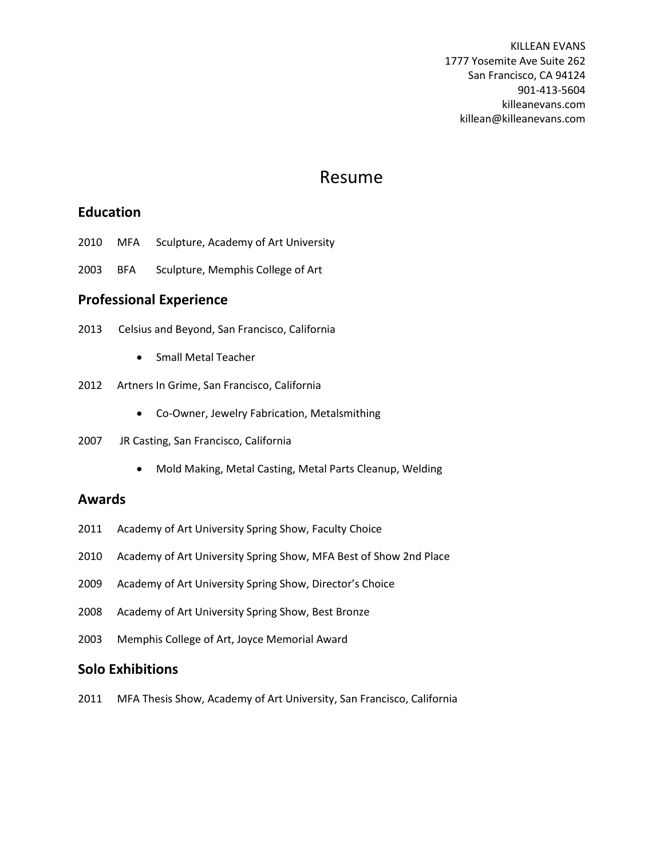KILLEAN EVANS 1777 Yosemite Ave Suite 262 San Francisco, CA 94124 901-413-5604 killeanevans.com killean@killeanevans.com

# Resume

#### **Education**

- 2010 MFA Sculpture, Academy of Art University
- 2003 BFA Sculpture, Memphis College of Art

### **Professional Experience**

- 2013 Celsius and Beyond, San Francisco, California
	- **•** Small Metal Teacher
- 2012 Artners In Grime, San Francisco, California
	- Co-Owner, Jewelry Fabrication, Metalsmithing
- 2007 JR Casting, San Francisco, California
	- Mold Making, Metal Casting, Metal Parts Cleanup, Welding

#### **Awards**

- 2011 Academy of Art University Spring Show, Faculty Choice
- 2010 Academy of Art University Spring Show, MFA Best of Show 2nd Place
- 2009 Academy of Art University Spring Show, Director's Choice
- 2008 Academy of Art University Spring Show, Best Bronze
- 2003 Memphis College of Art, Joyce Memorial Award

#### **Solo Exhibitions**

2011 MFA Thesis Show, Academy of Art University, San Francisco, California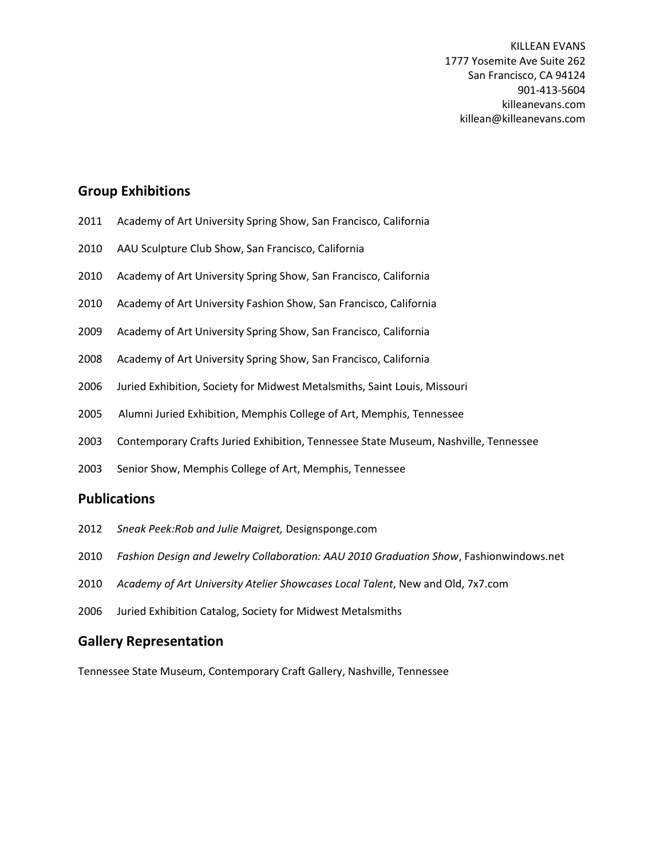#### **Group Exhibitions**

- 2011 Academy of Art University Spring Show, San Francisco, California
- 2010 AAU Sculpture Club Show, San Francisco, California
- 2010 Academy of Art University Spring Show, San Francisco, California
- 2010 Academy of Art University Fashion Show, San Francisco, California
- 2009 Academy of Art University Spring Show, San Francisco, California
- 2008 Academy of Art University Spring Show, San Francisco, California
- 2006 Juried Exhibition, Society for Midwest Metalsmiths, Saint Louis, Missouri
- 2005 Alumni Juried Exhibition, Memphis College of Art, Memphis, Tennessee
- 2003 Contemporary Crafts Juried Exhibition, Tennessee State Museum, Nashville, Tennessee
- 2003 Senior Show, Memphis College of Art, Memphis, Tennessee

#### **Publications**

- 2012 *Sneak Peek:Rob and Julie Maigret,* Designsponge.com
- 2010 *Fashion Design and Jewelry Collaboration: AAU 2010 Graduation Show*, Fashionwindows.net
- 2010 *Academy of Art University Atelier Showcases Local Talent*, New and Old, 7x7.com
- 2006 Juried Exhibition Catalog, Society for Midwest Metalsmiths

#### **Gallery Representation**

Tennessee State Museum, Contemporary Craft Gallery, Nashville, Tennessee